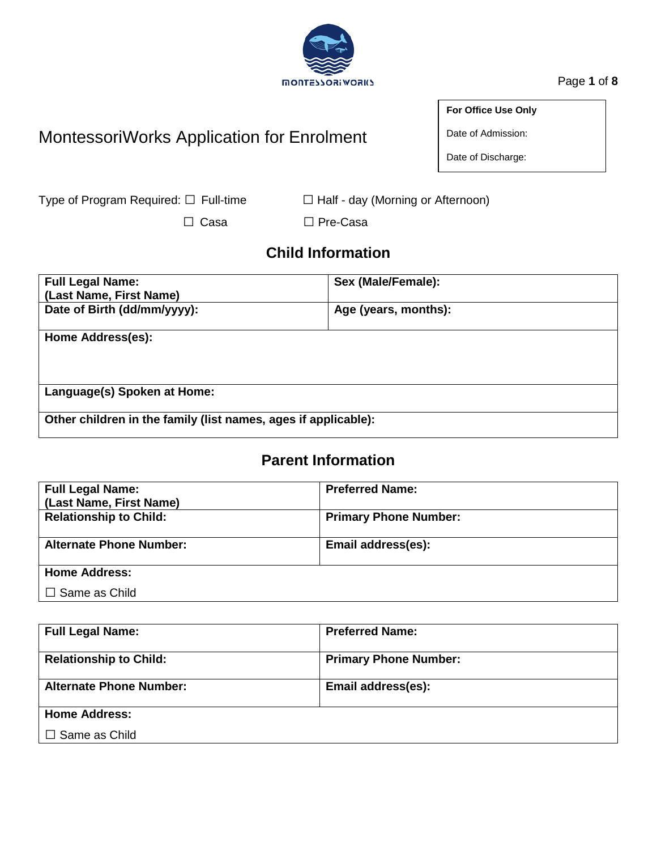# **MONTESSORIWORKS**

Page **1** of **8**

## MontessoriWorks Application for Enrolment

**For Office Use Only**

Date of Admission:

Date of Discharge:

Type of Program Required: □ Full-time □ Half - day (Morning or Afternoon)

□ Casa □ Pre-Casa

## **Child Information**

| <b>Full Legal Name:</b>                                        | Sex (Male/Female):   |  |  |
|----------------------------------------------------------------|----------------------|--|--|
| (Last Name, First Name)                                        |                      |  |  |
| Date of Birth (dd/mm/yyyy):                                    | Age (years, months): |  |  |
| Home Address(es):                                              |                      |  |  |
|                                                                |                      |  |  |
|                                                                |                      |  |  |
| Language(s) Spoken at Home:                                    |                      |  |  |
|                                                                |                      |  |  |
| Other children in the family (list names, ages if applicable): |                      |  |  |

## **Parent Information**

| <b>Full Legal Name:</b><br>(Last Name, First Name) | <b>Preferred Name:</b>       |
|----------------------------------------------------|------------------------------|
| <b>Relationship to Child:</b>                      | <b>Primary Phone Number:</b> |
| <b>Alternate Phone Number:</b>                     | Email address(es):           |
| <b>Home Address:</b>                               |                              |
| $\Box$ Same as Child                               |                              |

| <b>Full Legal Name:</b>        | <b>Preferred Name:</b>       |
|--------------------------------|------------------------------|
| <b>Relationship to Child:</b>  | <b>Primary Phone Number:</b> |
| <b>Alternate Phone Number:</b> | Email address(es):           |
| <b>Home Address:</b>           |                              |
| $\Box$ Same as Child           |                              |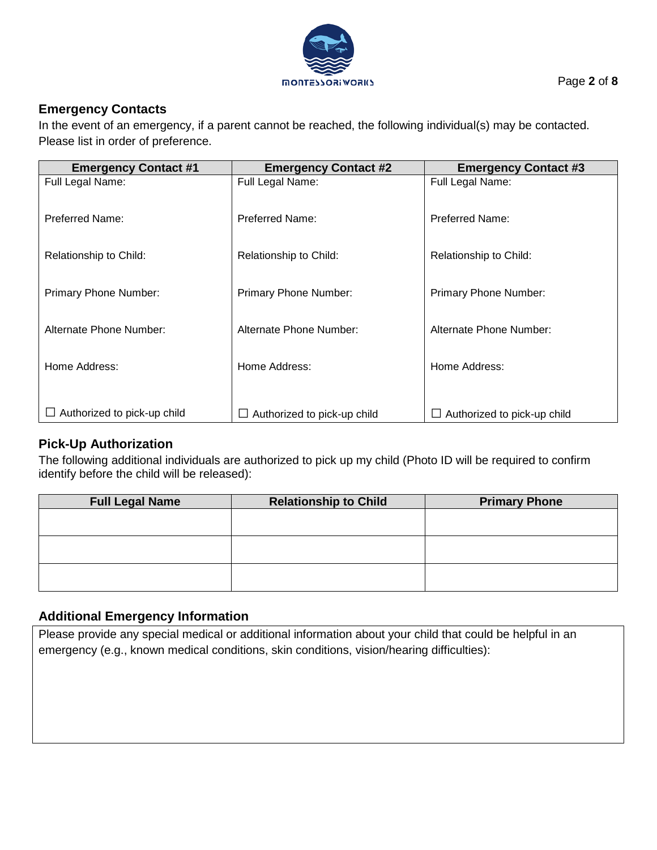

#### **Emergency Contacts**

In the event of an emergency, if a parent cannot be reached, the following individual(s) may be contacted. Please list in order of preference.

| <b>Emergency Contact #1</b> | <b>Emergency Contact #2</b>        | <b>Emergency Contact #3</b>        |
|-----------------------------|------------------------------------|------------------------------------|
| Full Legal Name:            | Full Legal Name:                   | Full Legal Name:                   |
| <b>Preferred Name:</b>      | <b>Preferred Name:</b>             | Preferred Name:                    |
| Relationship to Child:      | Relationship to Child:             | Relationship to Child:             |
| Primary Phone Number:       | Primary Phone Number:              | Primary Phone Number:              |
| Alternate Phone Number:     | Alternate Phone Number:            | Alternate Phone Number:            |
| Home Address:               | Home Address:                      | Home Address:                      |
| Authorized to pick-up child | $\Box$ Authorized to pick-up child | $\Box$ Authorized to pick-up child |

#### **Pick-Up Authorization**

The following additional individuals are authorized to pick up my child (Photo ID will be required to confirm identify before the child will be released):

| <b>Full Legal Name</b> | <b>Relationship to Child</b> | <b>Primary Phone</b> |
|------------------------|------------------------------|----------------------|
|                        |                              |                      |
|                        |                              |                      |
|                        |                              |                      |
|                        |                              |                      |
|                        |                              |                      |
|                        |                              |                      |

#### **Additional Emergency Information**

Please provide any special medical or additional information about your child that could be helpful in an emergency (e.g., known medical conditions, skin conditions, vision/hearing difficulties):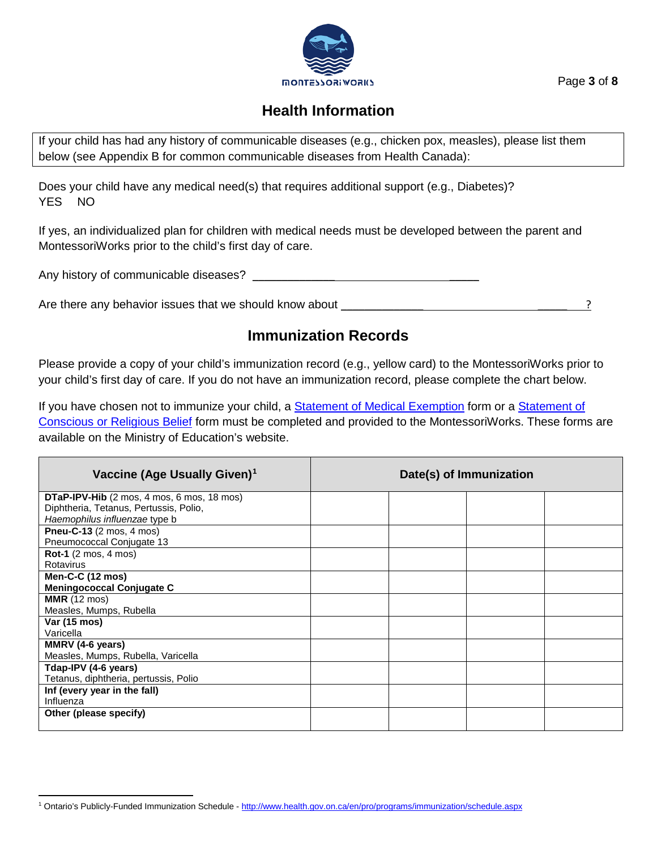

#### Page **3** of **8**

## **Health Information**

If your child has had any history of communicable diseases (e.g., chicken pox, measles), please list them below (see Appendix B for common communicable diseases from Health Canada):

Does your child have any medical need(s) that requires additional support (e.g., Diabetes)? YES NO

If yes, an individualized plan for children with medical needs must be developed between the parent and MontessoriWorks prior to the child's first day of care.

Any history of communicable diseases? \_\_\_\_\_\_\_\_\_\_\_\_\_\_ \_\_\_\_\_

Are there any behavior issues that we should know about example and the state of  $\sim$  . The state of  $\sim$  2

## **Immunization Records**

Please provide a copy of your child's immunization record (e.g., yellow card) to the MontessoriWorks prior to your child's first day of care. If you do not have an immunization record, please complete the chart below.

If you have chosen not to immunize your child, a **Statement of Medical Exemption** form or a **Statement of** [Conscious or Religious Belief](http://www.forms.ssb.gov.on.ca/mbs/ssb/forms/ssbforms.nsf/FormDetail?OpenForm&ACT=RDR&TAB=PROFILE&SRCH=1&ENV=WWE&TIT=religious+belief&NO=010-3042E) form must be completed and provided to the MontessoriWorks. These forms are available on the Ministry of Education's website.

| Vaccine (Age Usually Given) <sup>1</sup>          | Date(s) of Immunization |  |  |  |
|---------------------------------------------------|-------------------------|--|--|--|
| <b>DTaP-IPV-Hib</b> (2 mos, 4 mos, 6 mos, 18 mos) |                         |  |  |  |
| Diphtheria, Tetanus, Pertussis, Polio,            |                         |  |  |  |
| Haemophilus influenzae type b                     |                         |  |  |  |
| Pneu-C-13 (2 mos, 4 mos)                          |                         |  |  |  |
| Pneumococcal Conjugate 13                         |                         |  |  |  |
| <b>Rot-1</b> (2 mos, 4 mos)                       |                         |  |  |  |
| Rotavirus                                         |                         |  |  |  |
| <b>Men-C-C (12 mos)</b>                           |                         |  |  |  |
| <b>Meningococcal Conjugate C</b>                  |                         |  |  |  |
| <b>MMR</b> (12 mos)                               |                         |  |  |  |
| Measles, Mumps, Rubella                           |                         |  |  |  |
| Var (15 mos)                                      |                         |  |  |  |
| Varicella                                         |                         |  |  |  |
| MMRV (4-6 years)                                  |                         |  |  |  |
| Measles, Mumps, Rubella, Varicella                |                         |  |  |  |
| Tdap-IPV (4-6 years)                              |                         |  |  |  |
| Tetanus, diphtheria, pertussis, Polio             |                         |  |  |  |
| Inf (every year in the fall)                      |                         |  |  |  |
| Influenza                                         |                         |  |  |  |
| Other (please specify)                            |                         |  |  |  |
|                                                   |                         |  |  |  |

<span id="page-2-0"></span>l <sup>1</sup> Ontario's Publicly-Funded Immunization Schedule - <http://www.health.gov.on.ca/en/pro/programs/immunization/schedule.aspx>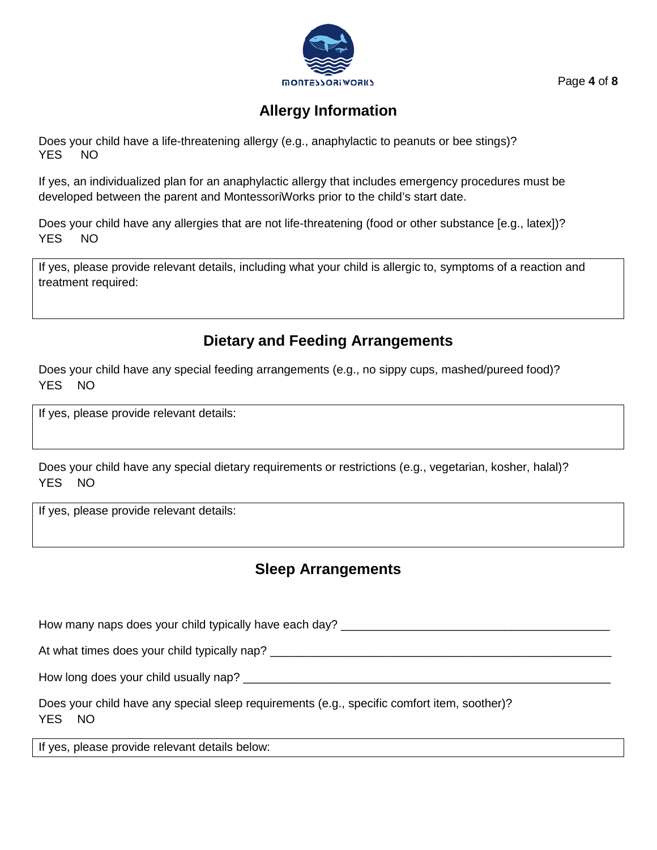

Page **4** of **8**

## **Allergy Information**

Does your child have a life-threatening allergy (e.g., anaphylactic to peanuts or bee stings)? YES NO

If yes, an individualized plan for an anaphylactic allergy that includes emergency procedures must be developed between the parent and MontessoriWorks prior to the child's start date.

Does your child have any allergies that are not life-threatening (food or other substance [e.g., latex])? YES NO

If yes, please provide relevant details, including what your child is allergic to, symptoms of a reaction and treatment required:

## **Dietary and Feeding Arrangements**

Does your child have any special feeding arrangements (e.g., no sippy cups, mashed/pureed food)? YES NO

If yes, please provide relevant details:

Does your child have any special dietary requirements or restrictions (e.g., vegetarian, kosher, halal)? YES NO

If yes, please provide relevant details:

## **Sleep Arrangements**

How many naps does your child typically have each day? \_\_\_\_\_\_\_\_\_\_\_\_\_\_\_\_\_\_\_\_\_\_\_\_\_\_ At what times does your child typically nap? \_\_\_\_\_\_\_\_\_\_\_\_\_\_\_\_\_\_\_\_\_\_\_\_\_\_\_\_\_\_\_\_\_\_\_ How long does your child usually nap? \_\_\_\_\_\_\_\_\_\_\_\_\_\_\_\_\_\_\_\_\_\_\_\_\_\_\_\_\_\_\_\_\_\_\_\_\_\_\_\_\_\_\_\_\_\_\_\_\_\_\_\_\_\_\_\_

Does your child have any special sleep requirements (e.g., specific comfort item, soother)? YES NO

If yes, please provide relevant details below: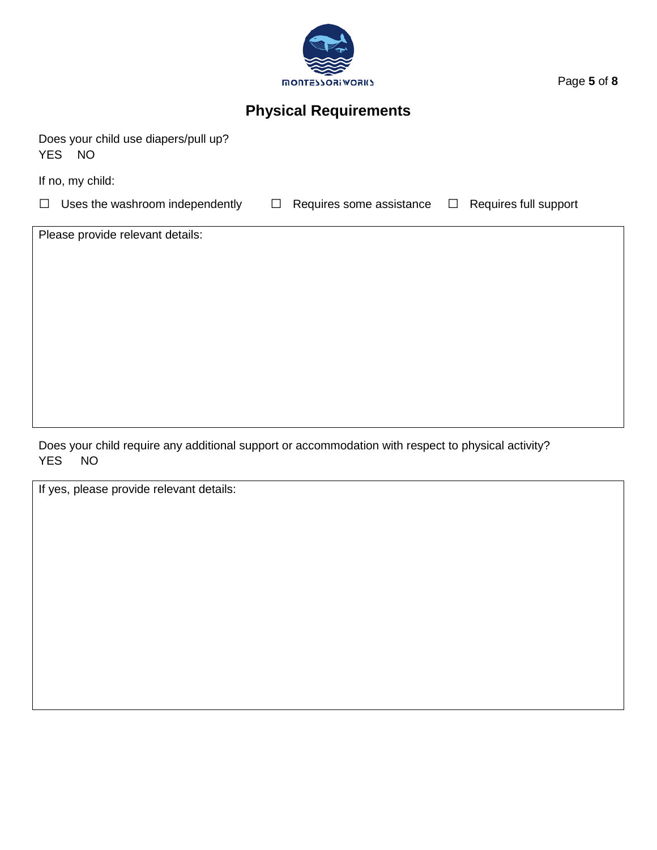

Page **5** of **8**

## **Physical Requirements**

Does your child use diapers/pull up? YES NO

If no, my child:

□ Uses the washroom independently □ Requires some assistance □ Requires full support

Please provide relevant details:

Does your child require any additional support or accommodation with respect to physical activity? YES NO

If yes, please provide relevant details: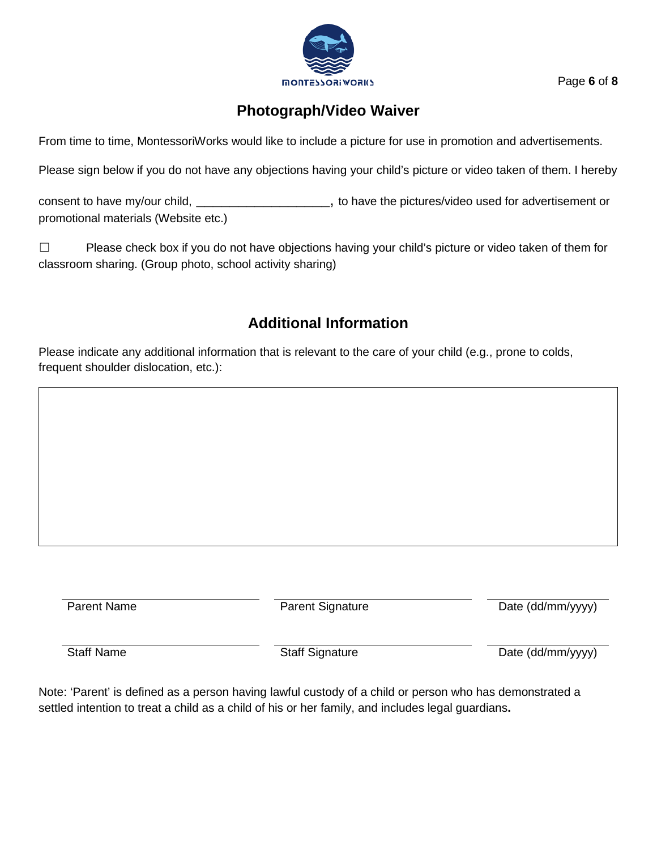

Page **6** of **8**

## **Photograph/Video Waiver**

From time to time, MontessoriWorks would like to include a picture for use in promotion and advertisements.

Please sign below if you do not have any objections having your child's picture or video taken of them. I hereby

consent to have my/our child, **\_\_\_\_\_\_\_\_\_\_\_\_\_\_\_\_**, to have the pictures/video used for advertisement or promotional materials (Website etc.)

☐ Please check box if you do not have objections having your child's picture or video taken of them for classroom sharing. (Group photo, school activity sharing)

## **Additional Information**

Please indicate any additional information that is relevant to the care of your child (e.g., prone to colds, frequent shoulder dislocation, etc.):

Parent Name Parent Signature Date (dd/mm/yyyy)

Staff Name Staff Signature Staff Signature Date (dd/mm/yyyy)

Note: 'Parent' is defined as a person having lawful custody of a child or person who has demonstrated a settled intention to treat a child as a child of his or her family, and includes legal guardians**.**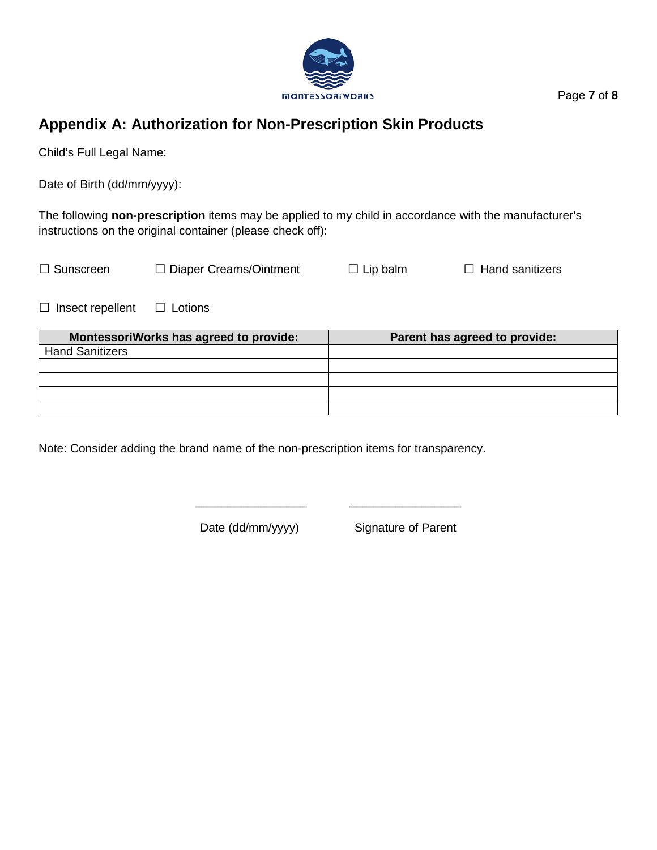

## **Appendix A: Authorization for Non-Prescription Skin Products**

Child's Full Legal Name:

Date of Birth (dd/mm/yyyy):

The following **non-prescription** items may be applied to my child in accordance with the manufacturer's instructions on the original container (please check off):

| $\Box$ Sunscreen | $\Box$ Diaper Creams/Ointment | $\Box$ Lip balm | $\Box$ Hand sanitizers |
|------------------|-------------------------------|-----------------|------------------------|
|                  |                               |                 |                        |

□ Insect repellent □ Lotions

| MontessoriWorks has agreed to provide: | Parent has agreed to provide: |
|----------------------------------------|-------------------------------|
| <b>Hand Sanitizers</b>                 |                               |
|                                        |                               |
|                                        |                               |
|                                        |                               |
|                                        |                               |

\_\_\_\_\_\_\_\_\_\_\_\_\_\_\_\_\_ \_\_\_\_\_\_\_\_\_\_\_\_\_\_\_\_\_

Note: Consider adding the brand name of the non-prescription items for transparency.

Date (dd/mm/yyyy) Signature of Parent